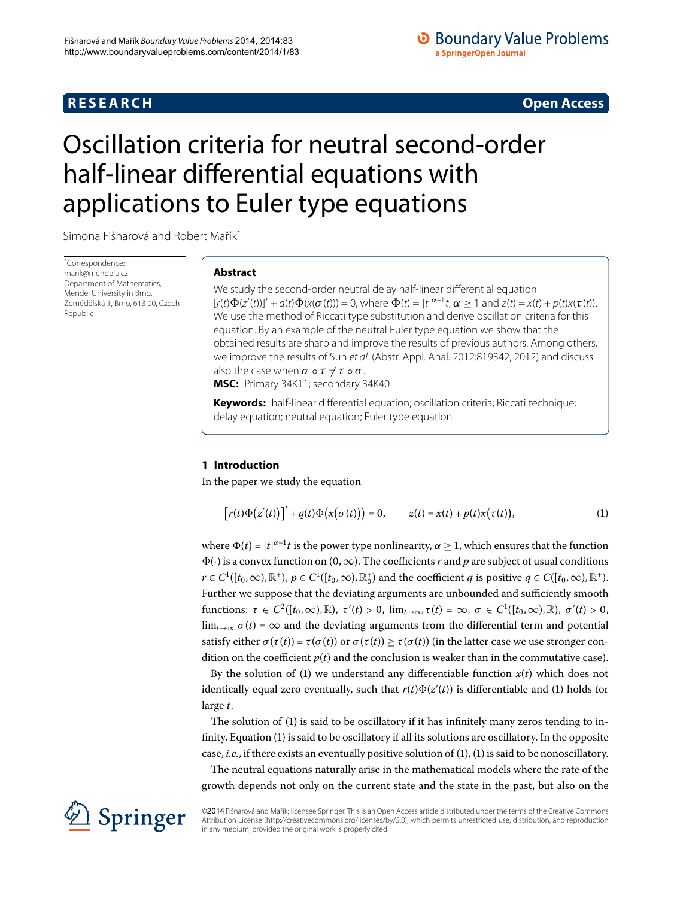# **R E S E A R C H Open Access**

# **O** Boundary Value Problems a SpringerOpen Journal

# <span id="page-0-0"></span>Oscillation criteria for neutral second-order half-linear differential equations with applications to Euler type equations

Simona Fišnarová and Robert Mařík<sup>[\\*](#page-0-0)</sup>

\* Correspondence: [marik@mendelu.cz](mailto:marik@mendelu.cz) Department of Mathematics, Mendel University in Brno, Zemědělská 1, Brno, 613 00, Czech Republic

## **Abstract**

We study the second-order neutral delay half-linear differential equation  $[r(t)\Phi(z'(t))]'+q(t)\Phi(x(\sigma(t)))=0$ , where  $\Phi(t)=|t|^{\alpha-1}t$ ,  $\alpha\geq 1$  and  $z(t)=x(t)+p(t)x(\tau(t))$ . We use the method of Riccati type substitution and derive oscillation criteria for this equation. By an example of the neutral Euler type equation we show that the obtained results are sharp and improve the results of previous authors. Among others, we improve the results of Sun et al. (Abstr. Appl. Anal. 2012:819342, 2012) and discuss also the case when  $\sigma \circ \tau \neq \tau \circ \sigma$ .

**MSC:** Primary 34K11; secondary 34K40

<span id="page-0-1"></span>**Keywords:** half-linear differential equation; oscillation criteria; Riccati technique; delay equation; neutral equation; Euler type equation

### **1 Introduction**

In the paper we study the equation

$$
\big[r(t)\Phi(z'(t))\big]' + q(t)\Phi(x(\sigma(t))) = 0, \qquad z(t) = x(t) + p(t)x(\tau(t)), \tag{1}
$$

where  $\Phi(t) = |t|^{\alpha-1}t$  is the power type nonlinearity,  $\alpha \ge 1$ , which ensures that the function  $\Phi(\cdot)$  is a convex function on  $(0,\infty)$ . The coefficients *r* and *p* are subject of usual conditions  $r \in C^1([t_0,\infty),\mathbb{R}^+),$   $p \in C^1([t_0,\infty),\mathbb{R}^+_0)$  and the coefficient  $q$  is positive  $q \in C([t_0,\infty),\mathbb{R}^+).$ Further we suppose that the deviating arguments are unbounded and sufficiently smooth  $\text{functions: } \tau \in C^2([t_0,\infty),\mathbb{R}), \ \tau'(t) > 0, \ \lim_{t \to \infty} \tau(t) = \infty, \ \sigma \in C^1([t_0,\infty),\mathbb{R}), \ \sigma'(t) > 0,$  $\lim_{t\to\infty} \sigma(t) = \infty$  and the deviating arguments from the differential term and potential satisfy either  $\sigma(\tau(t)) = \tau(\sigma(t))$  or  $\sigma(\tau(t)) \geq \tau(\sigma(t))$  (in the latter case we use stronger condition on the coefficient  $p(t)$  and the conclusion is weaker than in the commutative case).

By the solution of [\(](#page-0-1)1) we understand any differentiable function  $x(t)$  which does not identically equal zero eventually, such that  $r(t)\Phi(z'(t))$  is differentiable and (1) holds for large *t*.

The solution of (1) is said to be oscillatory if it has infinitely many zeros tending to in-finity. Equation [\(](#page-0-1)1) is said to be oscillatory if all its solutions are oscillatory. In the opposite case, *i.e.*, if there exists an eventually positive solution of (1[\)](#page-0-1), [\(](#page-0-1)1) is said to be nonoscillatory.

The neutral equations naturally arise in the mathematical models where the rate of the growth depends not only on the current state and the state in the past, but also on the

©2014 Fišnarová and Mařík; licensee Springer. This is an Open Access article distributed under the terms of the Creative Commons Attribution License [\(http://creativecommons.org/licenses/by/2.0](http://creativecommons.org/licenses/by/2.0)), which permits unrestricted use, distribution, and reproduction in any medium, provided the original work is properly cited.

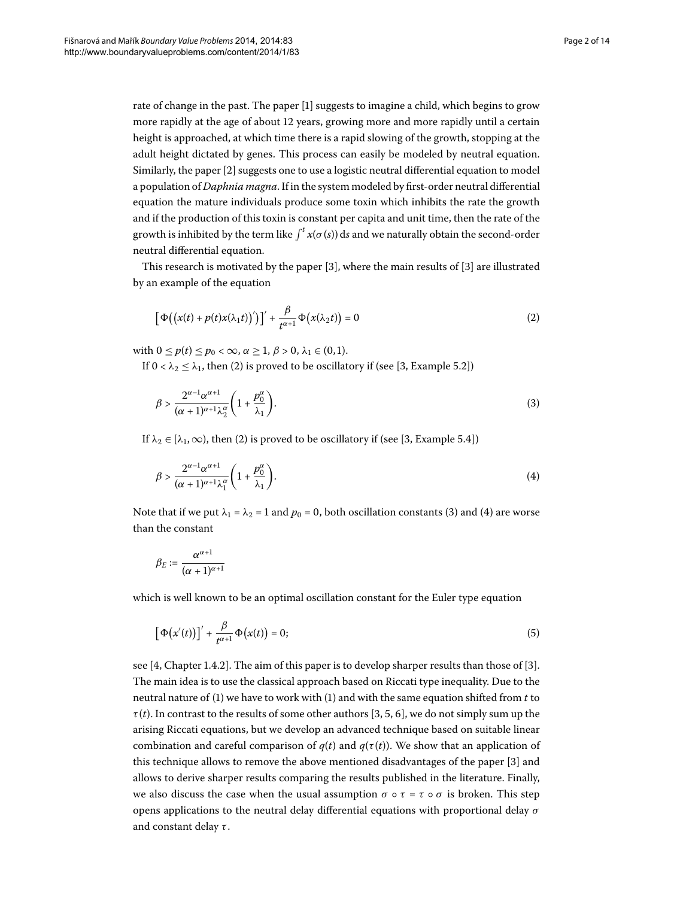rate of change in the past. The paper [[\]](#page-13-0) suggests to imagine a child, which begins to grow more rapidly at the age of about 12 years, growing more and more rapidly until a certain height is approached, at which time there is a rapid slowing of the growth, stopping at the adult height dictated by genes. This process can easily be modeled by neutral equation. Similarly, the paper [2[\]](#page-13-1) suggests one to use a logistic neutral differential equation to model a population of *Daphnia magna*. If in the system modeled by first-order neutral differential equation the mature individuals produce some toxin which inhibits the rate the growth and if the production of this toxin is constant per capita and unit time, then the rate of the growth is inhibited by the term like  $\int^t x(\sigma(s))\,{\rm d}s$  and we naturally obtain the second-order neutral differential equation.

This research is motivated by the paper  $[3]$  $[3]$  $[3]$ , where the main results of  $[3]$  are illustrated by an example of the equation

<span id="page-1-1"></span><span id="page-1-0"></span>
$$
\left[\Phi\big(\big(x(t)+p(t)x(\lambda_1 t)\big)'\big)\right]'+\frac{\beta}{t^{\alpha+1}}\Phi\big(x(\lambda_2 t)\big)=0\tag{2}
$$

with  $0 \leq p(t) \leq p_0 < \infty$ ,  $\alpha \geq 1$ ,  $\beta > 0$ ,  $\lambda_1 \in (0,1)$ .

If  $0 < \lambda_2 \leq \lambda_1$ , then (2[\)](#page-1-0) is proved to be oscillatory if (see [3[,](#page-13-2) Example 5.2])

<span id="page-1-2"></span>
$$
\beta > \frac{2^{\alpha - 1} \alpha^{\alpha + 1}}{(\alpha + 1)^{\alpha + 1} \lambda_2^{\alpha}} \left( 1 + \frac{p_0^{\alpha}}{\lambda_1} \right). \tag{3}
$$

If  $\lambda_2 \in [\lambda_1, \infty)$  $\lambda_2 \in [\lambda_1, \infty)$ [,](#page-13-2) then (2) is proved to be oscillatory if (see [3, Example 5.4])

$$
\beta > \frac{2^{\alpha - 1} \alpha^{\alpha + 1}}{(\alpha + 1)^{\alpha + 1} \lambda_1^{\alpha}} \left( 1 + \frac{p_0^{\alpha}}{\lambda_1} \right). \tag{4}
$$

Note that if we put  $\lambda_1 = \lambda_2 = 1$  and  $p_0 = 0$ , both oscillation constants (3[\)](#page-1-2) and (4) are worse than the constant

<span id="page-1-3"></span>
$$
\beta_E:=\frac{\alpha^{\alpha+1}}{(\alpha+1)^{\alpha+1}}
$$

which is well known to be an optimal oscillation constant for the Euler type equation

$$
\left[\Phi\big(x'(t)\big)\right]' + \frac{\beta}{t^{\alpha+1}}\Phi\big(x(t)\big) = 0;\tag{5}
$$

see [4[,](#page-13-3) Chapter 1.4.2[\]](#page-13-2). The aim of this paper is to develop sharper results than those of [3]. The main idea is to use the classical approach based on Riccati type inequality. Due to the neutral nature of  $(1)$  $(1)$  we have to work with  $(1)$  and with the same equation shifted from  $t$  to  $\tau(t)$ . In contrast to the results of some other authors [\[](#page-13-2)3, 5, 6[\]](#page-13-5), we do not simply sum up the arising Riccati equations, but we develop an advanced technique based on suitable linear combination and careful comparison of  $q(t)$  and  $q(\tau(t))$ . We show that an application of this technique allows to remove the above mentioned disadvantages of the paper [\[](#page-13-2)3] and allows to derive sharper results comparing the results published in the literature. Finally, we also discuss the case when the usual assumption  $\sigma \circ \tau = \tau \circ \sigma$  is broken. This step opens applications to the neutral delay differential equations with proportional delay *σ* and constant delay *τ* .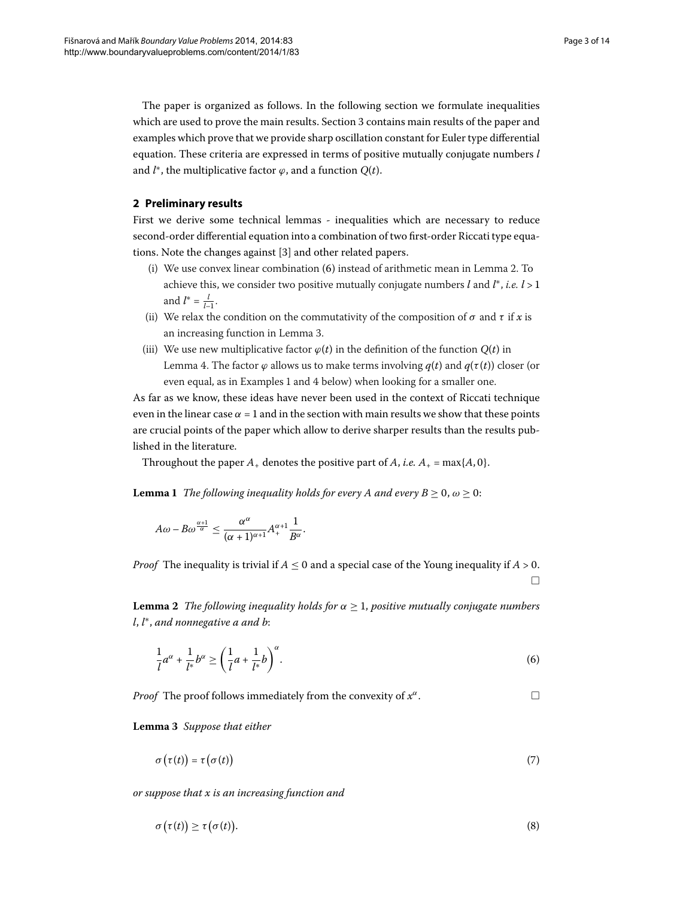The paper is organized as follows. In the following section we formulate inequalities which are used to prove the main results. Section 3 contains main results of the paper and examples which prove that we provide sharp oscillation constant for Euler type differential equation. These criteria are expressed in terms of positive mutually conjugate numbers *l* and *l* <sup>∗</sup>, the multiplicative factor *ϕ*, and a function *Q*(*t*).

#### **2 Preliminary results**

First we derive some technical lemmas - inequalities which are necessary to reduce second-order differential equation into a combination of two first-order Riccati type equa-tions. Note the changes against [\[](#page-13-2)3] and other related papers.

- (i) We use convex linear combination  $(6)$  instead of arithmetic mean in Lemma 2. To achieve this, we consider two positive mutually conjugate numbers *l* and *l* <sup>∗</sup>, *i.e. l* > and  $l^* = \frac{l}{l-1}$ .
- (ii) We relax the condition on the commutativity of the composition of  $\sigma$  and  $\tau$  if  $x$  is an increasing function in Lemma 3.
- (iii) We use new multiplicative factor  $\varphi(t)$  in the definition of the function  $Q(t)$  in Lemma 4[.](#page-3-1) The factor  $\varphi$  allows us to make terms involving  $q(t)$  and  $q(\tau(t))$  closer (or even equal, as in Examples 1 and 4 below) when looking for a smaller one.

<span id="page-2-5"></span>As far as we know, these ideas have never been used in the context of Riccati technique even in the linear case  $\alpha = 1$  and in the section with main results we show that these points are crucial points of the paper which allow to derive sharper results than the results published in the literature.

Throughout the paper  $A_+$  denotes the positive part of  $A$ , *i.e.*  $A_+ = \max\{A, 0\}$ .

<span id="page-2-1"></span>**Lemma 1** *The following inequality holds for every A and every B*  $\geq$  0,  $\omega$   $\geq$  0:

<span id="page-2-0"></span>
$$
A\omega - B\omega^{\frac{\alpha+1}{\alpha}} \leq \frac{\alpha^{\alpha}}{(\alpha+1)^{\alpha+1}} A^{\alpha+1}_{+} \frac{1}{B^{\alpha}}.
$$

*Proof* The inequality is trivial if  $A \le 0$  and a special case of the Young inequality if  $A > 0$ .  $\Box$ 

<span id="page-2-2"></span>**Lemma 2** *The following inequality holds for*  $\alpha \geq 1$ *, positive mutually conjugate numbers l*, *l* <sup>∗</sup>, *and nonnegative a and b*:

<span id="page-2-3"></span>
$$
\frac{1}{l}a^{\alpha} + \frac{1}{l^*}b^{\alpha} \ge \left(\frac{1}{l}a + \frac{1}{l^*}b\right)^{\alpha}.
$$
\n(6)

*Proof* The proof follows immediately from the convexity of  $x^α$ .  $□$ 

**Lemma**  *Suppose that either*

<span id="page-2-4"></span>
$$
\sigma(\tau(t)) = \tau(\sigma(t)) \tag{7}
$$

*or suppose that x is an increasing function and*

$$
\sigma(\tau(t)) \geq \tau(\sigma(t)). \tag{8}
$$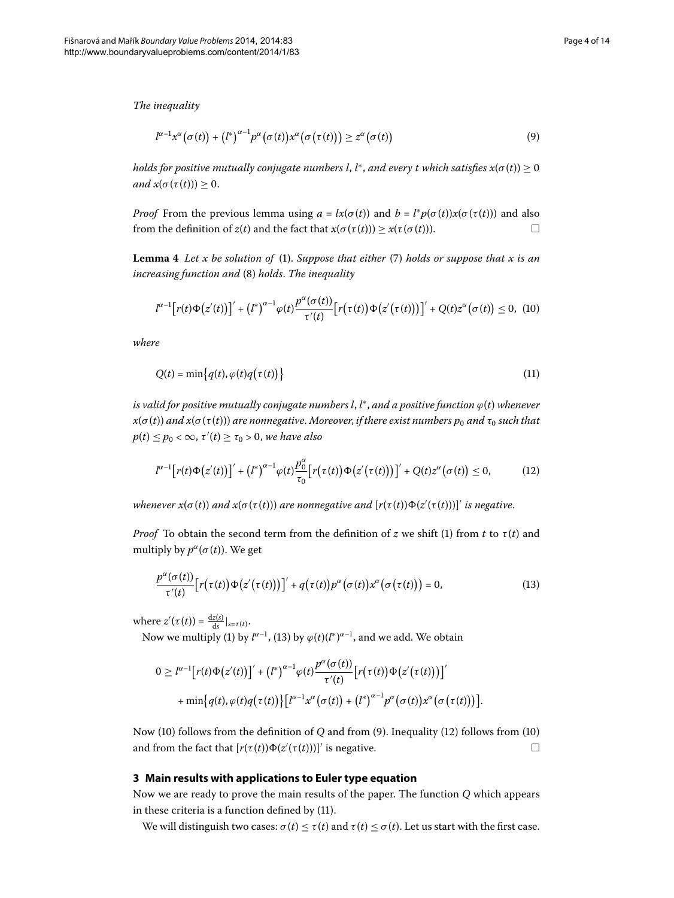*The inequality*

<span id="page-3-4"></span><span id="page-3-3"></span>
$$
l^{\alpha-1}x^{\alpha}(\sigma(t)) + (l^*)^{\alpha-1}p^{\alpha}(\sigma(t))x^{\alpha}(\sigma(\tau(t))) \geq z^{\alpha}(\sigma(t))
$$
\n(9)

<span id="page-3-1"></span>*holds for positive mutually conjugate numbers l*, *l* <sup>∗</sup>, *and every t which satisfies x*(*σ*(*t*)) ≥  $and x(\sigma(\tau(t))) \geq 0.$ 

*Proof* From the previous lemma using  $a = lx(\sigma(t))$  and  $b = l^*p(\sigma(t))x(\sigma(\tau(t)))$  and also from the definition of *z*(*t*) and the fact that  $x(\sigma(\tau(t))) \geq x(\tau(\sigma(t)))$ .

**Lemma 4** Let x be solution of (1[\)](#page-2-3). Suppose that either (7) holds or suppose that x is an *increasing function and* (8[\)](#page-2-4) *holds*. *The inequality* 

<span id="page-3-6"></span>
$$
l^{\alpha-1}\big[r(t)\Phi\big(z'(t)\big)\big]'+\big(l^*\big)^{\alpha-1}\varphi(t)\frac{p^{\alpha}(\sigma(t))}{\tau'(t)}\big[r\big(\tau(t)\big)\Phi\big(z'\big(\tau(t)\big)\big)\big]'+Q(t)z^{\alpha}\big(\sigma(t)\big)\leq 0, \tag{10}
$$

*where*

<span id="page-3-5"></span>
$$
Q(t) = \min\{q(t), \varphi(t)q(\tau(t))\}\tag{11}
$$

*is valid for positive mutually conjugate numbers l*, *l* <sup>∗</sup>, *and a positive function ϕ*(*t*) *whenever*  $x(\sigma(t))$  *and*  $x(\sigma(\tau(t)))$  *are nonnegative. Moreover, if there exist numbers*  $p_0$  *<i>and*  $\tau_0$  *such that*  $p(t) \leq p_0 < \infty$ ,  $\tau'(t) \geq \tau_0 > 0$ , we have also

<span id="page-3-2"></span>
$$
l^{\alpha-1}\big[r(t)\Phi\big(z'(t)\big)\big]'+\big(l^*\big)^{\alpha-1}\varphi(t)\frac{p_0^{\alpha}}{\tau_0}\big[r\big(\tau(t)\big)\Phi\big(z'\big(\tau(t)\big)\big)\big]'+Q(t)z^{\alpha}\big(\sigma(t)\big)\leq 0,\qquad (12)
$$

*whenever x*( $\sigma(t)$ ) and x( $\sigma(\tau(t))$ ) are nonnegative and  $[r(\tau(t))\Phi(z'(\tau(t)))]'$  is negative.

*Proof* To obtain the second term from the definition of *z* we shift [\(](#page-0-1)1) from *t* to  $\tau(t)$  and multiply by  $p^{\alpha}(\sigma(t))$ . We get

$$
\frac{p^{\alpha}(\sigma(t))}{\tau'(t)}\big[r(\tau(t))\Phi(z'(\tau(t)))\big]'+q(\tau(t))p^{\alpha}(\sigma(t))x^{\alpha}(\sigma(\tau(t)))=0,
$$
\n(13)

where  $z'(\tau(t)) = \frac{dz(s)}{ds}|_{s=\tau(t)}$ .

Now we multiply (1[\)](#page-3-2) by  $l^{\alpha-1}$ , (13) by  $\varphi(t) (l^*)^{\alpha-1}$ , and we add. We obtain

$$
0 \geq l^{\alpha-1} \big[ r(t) \Phi(z'(t)) \big]' + (l^*)^{\alpha-1} \varphi(t) \frac{p^{\alpha}(\sigma(t))}{\tau'(t)} \big[ r(\tau(t)) \Phi(z'(\tau(t))) \big]'
$$
  
+ min $\big\{ q(t), \varphi(t) q(\tau(t)) \big\} \big[ l^{\alpha-1} x^{\alpha} (\sigma(t)) + (l^*)^{\alpha-1} p^{\alpha} (\sigma(t)) x^{\alpha} (\sigma(\tau(t))) \big].$ 

<span id="page-3-0"></span>Now (10[\)](#page-3-3) follows from the definition of *Q* and from (9). Inequality (12) follows from (10) and from the fact that  $[r(\tau(t))\Phi(z'(\tau(t)))]'$  is negative.

#### **3 Main results with applications to Euler type equation**

Now we are ready to prove the main results of the paper. The function *Q* which appears in these criteria is a function defined by  $(11)$  $(11)$ .

We will distinguish two cases:  $\sigma(t) \leq \tau(t)$  and  $\tau(t) \leq \sigma(t)$ . Let us start with the first case.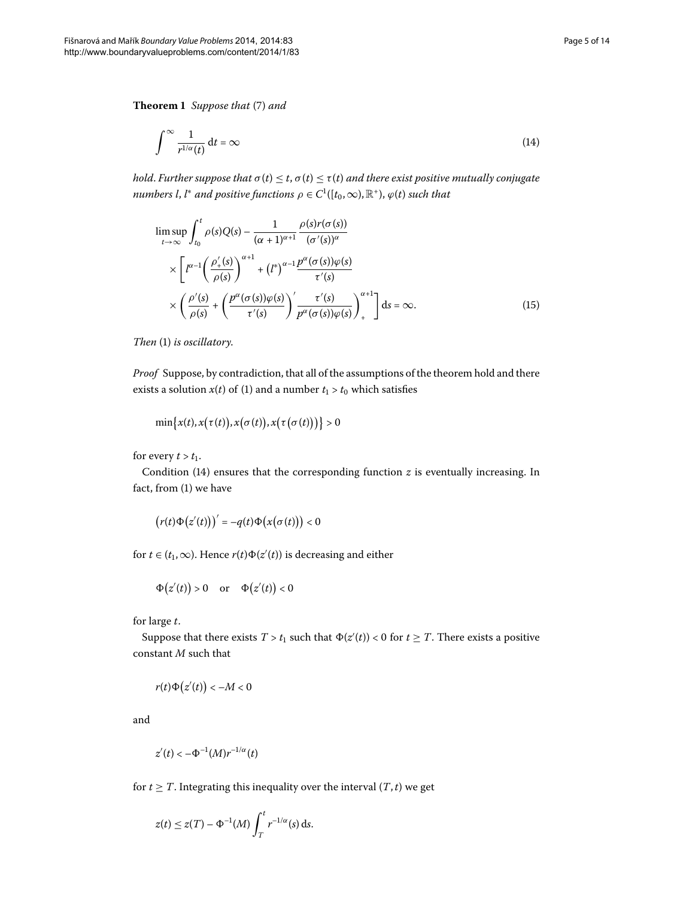<span id="page-4-2"></span>**Theorem 1** *Suppose that* (7[\)](#page-2-3) *and* 

<span id="page-4-0"></span>
$$
\int^{\infty} \frac{1}{r^{1/\alpha}(t)} dt = \infty
$$
\n(14)

*hold. Further suppose that*  $\sigma(t) \leq t$ ,  $\sigma(t) \leq \tau(t)$  *and there exist positive mutually conjugate numbers l, l\* and positive functions*  $\rho \in C^1([t_0, \infty), \mathbb{R}^+)$ ,  $\varphi(t)$  *such that* 

<span id="page-4-1"></span>
$$
\limsup_{t \to \infty} \int_{t_0}^t \rho(s)Q(s) - \frac{1}{(\alpha + 1)^{\alpha + 1}} \frac{\rho(s)r(\sigma(s))}{(\sigma'(s))^{\alpha}} \times \left[ l^{\alpha - 1} \left( \frac{\rho'_+(s)}{\rho(s)} \right)^{\alpha + 1} + (l^*)^{\alpha - 1} \frac{p^{\alpha}(\sigma(s))\varphi(s)}{\tau'(s)} \times \left( \frac{\rho'(s)}{\rho(s)} + \left( \frac{p^{\alpha}(\sigma(s))\varphi(s)}{\tau'(s)} \right)^{\alpha} \frac{\tau'(s)}{p^{\alpha}(\sigma(s))\varphi(s)} \right)_{+}^{\alpha + 1} ds = \infty.
$$
\n(15)

*Then* (1) *is oscillatory*.

*Proof* Suppose, by contradiction, that all of the assumptions of the theorem hold and there exists a solution  $x(t)$  $x(t)$  $x(t)$  of (1) and a number  $t_1 > t_0$  which satisfies

$$
\min\{x(t),x(\tau(t)),x(\sigma(t)),x(\tau(\sigma(t)))\}>0
$$

for every  $t > t_1$ .

Condition  $(14)$  ensures that the corresponding function  $z$  is eventually increasing. In fact, from  $(1)$  we have

$$
(r(t)\Phi(z'(t)))' = -q(t)\Phi(x(\sigma(t))) < 0
$$

for  $t \in (t_1, \infty)$ . Hence  $r(t)\Phi(z'(t))$  is decreasing and either

$$
\Phi(z'(t)) > 0 \quad \text{or} \quad \Phi(z'(t)) < 0
$$

for large *t*.

Suppose that there exists  $T > t_1$  such that  $\Phi(z'(t)) < 0$  for  $t \geq T$ . There exists a positive constant *M* such that

$$
r(t)\Phi(z'(t)) < -M < 0
$$

and

$$
z'(t) < -\Phi^{-1}(M)r^{-1/\alpha}(t)
$$

for  $t \geq T$ . Integrating this inequality over the interval  $(T, t)$  we get

$$
z(t) \le z(T) - \Phi^{-1}(M) \int_T^t r^{-1/\alpha}(s) \, ds.
$$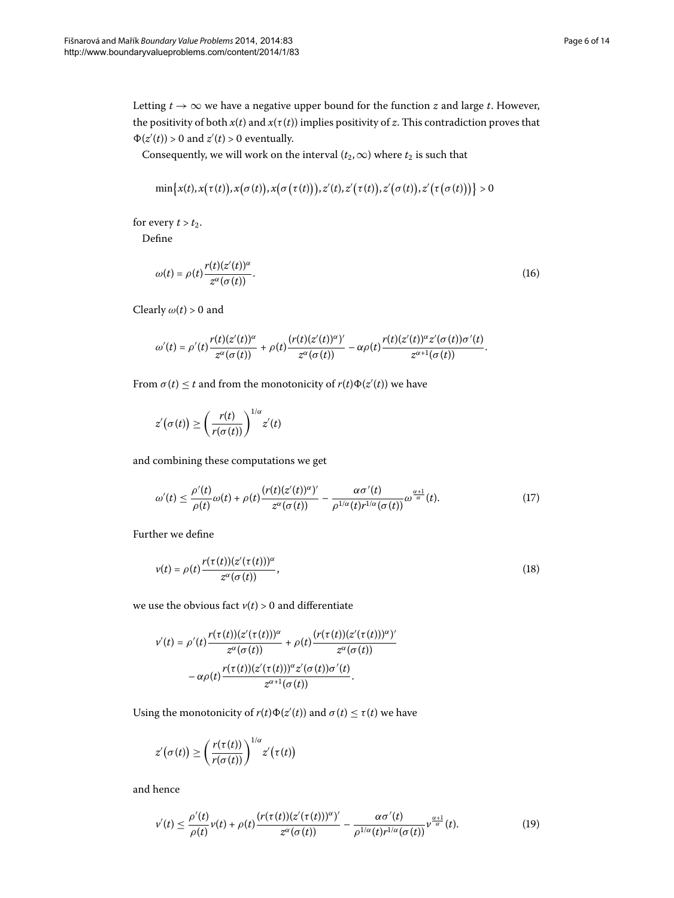Letting  $t \to \infty$  we have a negative upper bound for the function *z* and large *t*. However, the positivity of both  $x(t)$  and  $x(\tau(t))$  implies positivity of *z*. This contradiction proves that  $\Phi(z'(t))$  > 0 and  $z'(t)$  > 0 eventually.

Consequently, we will work on the interval  $(t_2, \infty)$  where  $t_2$  is such that

<span id="page-5-2"></span>
$$
\min\bigl\{x(t),x\bigl(\tau(t)\bigr),x\bigl(\sigma(t)\bigr),x\bigl(\sigma\bigl(\tau(t)\bigr)\bigr),z'(t),z'\bigl(\tau(t)\bigr),z'\bigl(\sigma(t)\bigr),z'\bigl(\tau\bigl(\sigma(t)\bigr)\bigr)\bigr\}>0
$$

for every  $t > t_2$ .

Define

$$
\omega(t) = \rho(t) \frac{r(t)(z'(t))^{\alpha}}{z^{\alpha}(\sigma(t))}.
$$
\n(16)

Clearly  $\omega(t) > 0$  and

$$
\omega'(t)=\rho'(t)\frac{r(t)(z'(t))^\alpha}{z^\alpha(\sigma(t))}+\rho(t)\frac{(r(t)(z'(t))^\alpha)'}{z^\alpha(\sigma(t))}-\alpha\rho(t)\frac{r(t)(z'(t))^\alpha z'(\sigma(t))\sigma'(t)}{z^{\alpha+1}(\sigma(t))}.
$$

From  $\sigma(t) \leq t$  and from the monotonicity of  $r(t)\Phi(z'(t))$  we have

<span id="page-5-3"></span><span id="page-5-0"></span>
$$
z'(\sigma(t)) \ge \left(\frac{r(t)}{r(\sigma(t))}\right)^{1/\alpha} z'(t)
$$

and combining these computations we get

$$
\omega'(t) \leq \frac{\rho'(t)}{\rho(t)}\omega(t) + \rho(t)\frac{(r(t)(z'(t))^{\alpha})'}{z^{\alpha}(\sigma(t))} - \frac{\alpha\sigma'(t)}{\rho^{1/\alpha}(t)r^{1/\alpha}(\sigma(t))}\omega^{\frac{\alpha+1}{\alpha}}(t). \tag{17}
$$

Further we define

$$
v(t) = \rho(t) \frac{r(\tau(t))(z'(\tau(t)))^{\alpha}}{z^{\alpha}(\sigma(t))},
$$
\n(18)

we use the obvious fact  $v(t) > 0$  and differentiate

$$
v'(t) = \rho'(t) \frac{r(\tau(t))(z'(\tau(t)))^{\alpha}}{z^{\alpha}(\sigma(t))} + \rho(t) \frac{(r(\tau(t))(z'(\tau(t)))^{\alpha})'}{z^{\alpha}(\sigma(t))}
$$

$$
-\alpha \rho(t) \frac{r(\tau(t))(z'(\tau(t)))^{\alpha} z'(\sigma(t))\sigma'(t)}{z^{\alpha+1}(\sigma(t))}.
$$

Using the monotonicity of  $r(t)\Phi(z'(t))$  and  $\sigma(t) \leq \tau(t)$  we have

<span id="page-5-1"></span>
$$
z'(\sigma(t)) \geq \left(\frac{r(\tau(t))}{r(\sigma(t))}\right)^{1/\alpha} z'(\tau(t))
$$

and hence

$$
v'(t) \leq \frac{\rho'(t)}{\rho(t)}v(t) + \rho(t)\frac{(r(\tau(t))(z'(\tau(t)))^{\alpha})'}{z^{\alpha}(\sigma(t))} - \frac{\alpha\sigma'(t)}{\rho^{1/\alpha}(t)r^{1/\alpha}(\sigma(t))}\nu^{\frac{\alpha+1}{\alpha}}(t). \tag{19}
$$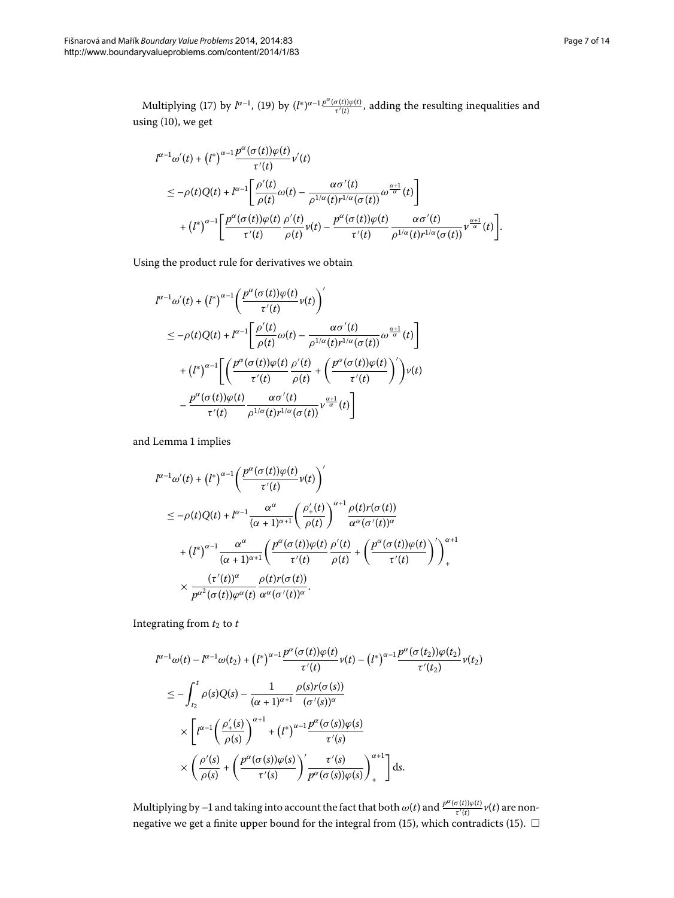Multiplying (17[\)](#page-5-1) by  $l^{\alpha-1}$ , (19) by  $(l^*)^{\alpha-1}\frac{p^\alpha(\sigma(t))\varphi(t)}{\tau'(t)}$ , adding the resulting inequalities and using  $(10)$ , we get

$$
l^{\alpha-1}\omega'(t) + (l^*)^{\alpha-1}\frac{p^{\alpha}(\sigma(t))\varphi(t)}{\tau'(t)}\nu'(t)
$$
  
\n
$$
\leq -\rho(t)Q(t) + l^{\alpha-1}\left[\frac{\rho'(t)}{\rho(t)}\omega(t) - \frac{\alpha\sigma'(t)}{\rho^{1/\alpha}(t)r^{1/\alpha}(\sigma(t))}\omega^{\frac{\alpha+1}{\alpha}}(t)\right] + (l^*)^{\alpha-1}\left[\frac{p^{\alpha}(\sigma(t))\varphi(t)}{\tau'(t)}\frac{\rho'(t)}{\rho(t)}\nu(t) - \frac{p^{\alpha}(\sigma(t))\varphi(t)}{\tau'(t)}\frac{\alpha\sigma'(t)}{\rho^{1/\alpha}(t)r^{1/\alpha}(\sigma(t))}\nu^{\frac{\alpha+1}{\alpha}}(t)\right].
$$

Using the product rule for derivatives we obtain

$$
l^{\alpha-1}\omega'(t) + (l^*)^{\alpha-1} \left(\frac{p^{\alpha}(\sigma(t))\varphi(t)}{\tau'(t)}\nu(t)\right)'
$$
  
\n
$$
\leq -\rho(t)Q(t) + l^{\alpha-1} \left[\frac{\rho'(t)}{\rho(t)}\omega(t) - \frac{\alpha\sigma'(t)}{\rho^{1/\alpha}(t)r^{1/\alpha}(\sigma(t))}\omega^{\frac{\alpha+1}{\alpha}}(t)\right]
$$
  
\n
$$
+ (l^*)^{\alpha-1} \left[\left(\frac{p^{\alpha}(\sigma(t))\varphi(t)}{\tau'(t)}\frac{\rho'(t)}{\rho(t)} + \left(\frac{p^{\alpha}(\sigma(t))\varphi(t)}{\tau'(t)}\right)'\right)\nu(t)\right]
$$
  
\n
$$
- \frac{p^{\alpha}(\sigma(t))\varphi(t)}{\tau'(t)} \frac{\alpha\sigma'(t)}{\rho^{1/\alpha}(t)r^{1/\alpha}(\sigma(t))}\nu^{\frac{\alpha+1}{\alpha}}(t)\right]
$$

and Lemma 1 implies

$$
l^{\alpha-1}\omega'(t) + (l^*)^{\alpha-1} \left(\frac{p^{\alpha}(\sigma(t))\varphi(t)}{\tau'(t)}\nu(t)\right)'
$$
  
\n
$$
\leq -\rho(t)Q(t) + l^{\alpha-1} \frac{\alpha^{\alpha}}{(\alpha+1)^{\alpha+1}} \left(\frac{\rho'_+(t)}{\rho(t)}\right)^{\alpha+1} \frac{\rho(t)r(\sigma(t))}{\alpha^{\alpha}(\sigma'(t))^{\alpha}}
$$
  
\n
$$
+ (l^*)^{\alpha-1} \frac{\alpha^{\alpha}}{(\alpha+1)^{\alpha+1}} \left(\frac{p^{\alpha}(\sigma(t))\varphi(t)}{\tau'(t)}\frac{\rho'(t)}{\rho(t)} + \left(\frac{p^{\alpha}(\sigma(t))\varphi(t)}{\tau'(t)}\right)'\right)^{\alpha+1}
$$
  
\n
$$
\times \frac{(\tau'(t))^{\alpha}}{p^{\alpha^2}(\sigma(t))\varphi^{\alpha}(t)} \frac{\rho(t)r(\sigma(t))}{\alpha^{\alpha}(\sigma'(t))^{\alpha}}.
$$

Integrating from  $t_2$  to  $t$ 

$$
l^{\alpha-1}\omega(t) - l^{\alpha-1}\omega(t_2) + (l^*)^{\alpha-1}\frac{p^{\alpha}(\sigma(t))\varphi(t)}{\tau'(t)}\nu(t) - (l^*)^{\alpha-1}\frac{p^{\alpha}(\sigma(t_2))\varphi(t_2)}{\tau'(t_2)}\nu(t_2)
$$
  
\n
$$
\leq -\int_{t_2}^t \rho(s)Q(s) - \frac{1}{(\alpha+1)^{\alpha+1}}\frac{\rho(s)r(\sigma(s))}{(\sigma'(s))^{\alpha}}
$$
  
\n
$$
\times \left[l^{\alpha-1}\left(\frac{\rho'_+(s)}{\rho(s)}\right)^{\alpha+1} + (l^*)^{\alpha-1}\frac{p^{\alpha}(\sigma(s))\varphi(s)}{\tau'(s)}\right)\right]
$$
  
\n
$$
\times \left(\frac{\rho'(s)}{\rho(s)} + \left(\frac{p^{\alpha}(\sigma(s))\varphi(s)}{\tau'(s)}\right)' \frac{\tau'(s)}{p^{\alpha}(\sigma(s))\varphi(s)}\right)_{+}^{\alpha+1}\right] ds.
$$

Multiplying by  $-1$  and taking into account the fact that both  $\omega(t)$  and  $\frac{p^\alpha(\sigma(t))\varphi(t)}{ \tau'(t)}\nu(t)$  are non-negative we get a finite upper bound for the integral from (15[\)](#page-4-1), which contradicts [\(](#page-4-1)15).  $\,\Box$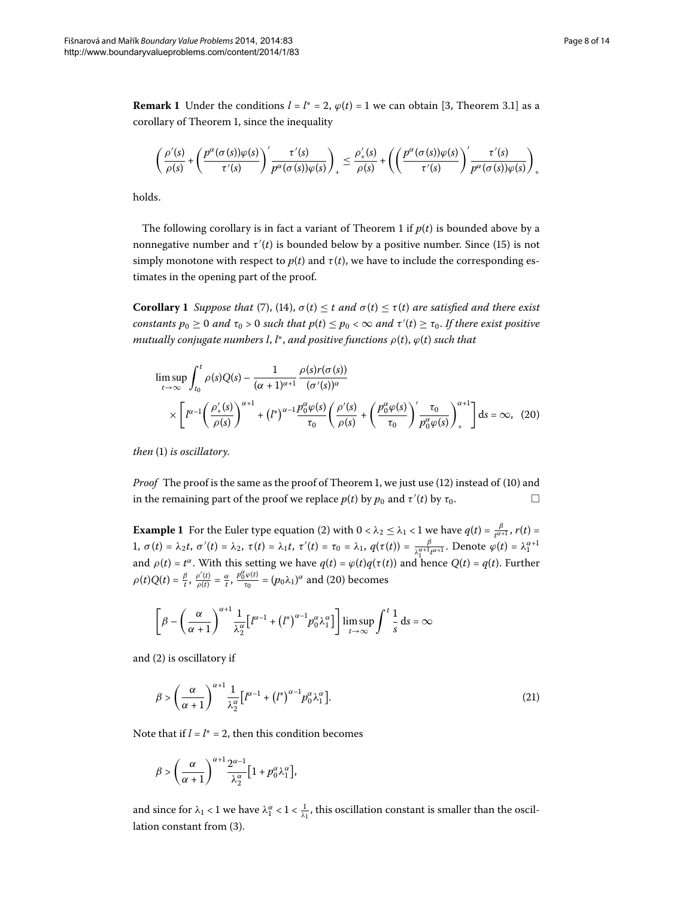<span id="page-7-4"></span>**Remark 1** Under the conditions  $l = l^* = 2$ ,  $\varphi(t) = 1$  we can obtain [\[](#page-13-2)3, Theorem 3.1] as a corollary of Theorem 1[,](#page-4-2) since the inequality

$$
\left(\frac{\rho'(s)}{\rho(s)}+\left(\frac{p^{\alpha}(\sigma(s))\varphi(s)}{\tau'(s)}\right)'\frac{\tau'(s)}{p^{\alpha}(\sigma(s))\varphi(s)}\right)_{+}\leq \frac{\rho'_+(s)}{\rho(s)}+\left(\left(\frac{p^{\alpha}(\sigma(s))\varphi(s)}{\tau'(s)}\right)'\frac{\tau'(s)}{p^{\alpha}(\sigma(s))\varphi(s)}\right)_{+}
$$

<span id="page-7-3"></span>holds.

The following corollary is in fact a variant of Theorem 1 if  $p(t)$  is bounded above by a nonnegative number and *τ'*(*t*[\)](#page-4-1) is bounded below by a positive number. Since (15) is not simply monotone with respect to  $p(t)$  and  $\tau(t)$ , we have to include the corresponding estimates in the opening part of the proof.

**Corollary 1** *Suppose that* [\(](#page-2-3)7[\)](#page-4-0), (14),  $\sigma(t) \leq t$  *and*  $\sigma(t) \leq \tau(t)$  *are satisfied and there exist*  $constants p_0 \ge 0$  and  $\tau_0 > 0$  such that  $p(t) \le p_0 < \infty$  and  $\tau'(t) \ge \tau_0$ . If there exist positive *mutually conjugate numbers l*, *l* <sup>∗</sup>, *and positive functions ρ*(*t*), *ϕ*(*t*) *such that*

<span id="page-7-1"></span>
$$
\limsup_{t \to \infty} \int_{t_0}^t \rho(s)Q(s) - \frac{1}{(\alpha + 1)^{\alpha + 1}} \frac{\rho(s)r(\sigma(s))}{(\sigma'(s))^{\alpha}} \times \left[ l^{\alpha - 1} \left( \frac{\rho'_+(s)}{\rho(s)} \right)^{\alpha + 1} + (l^*)^{\alpha - 1} \frac{p_0^{\alpha} \varphi(s)}{\tau_0} \left( \frac{\rho'(s)}{\rho(s)} + \left( \frac{p_0^{\alpha} \varphi(s)}{\tau_0} \right)^{\alpha} \frac{\tau_0}{p_0^{\alpha} \varphi(s)} \right) \right] ds = \infty, \quad (20)
$$

<span id="page-7-0"></span>*then* (1[\)](#page-0-1) *is oscillatory*.

*Proof* The proof is the same as the proof of Theorem 1[,](#page-4-2) we just use (12[\)](#page-3-3) instead of (10) and in the remaining part of the proof we replace  $p(t)$  by  $p_0$  and  $\tau'(t)$  by  $\tau_0.$ 

**Example 1** For the Euler type equation (2[\)](#page-1-0) with  $0 < \lambda_2 \leq \lambda_1 < 1$  we have  $q(t) = \frac{\beta}{t^{\alpha+1}}$ ,  $r(t) =$ 1,  $\sigma(t) = \lambda_2 t$ ,  $\sigma'(t) = \lambda_2$ ,  $\tau(t) = \lambda_1 t$ ,  $\tau'(t) = \tau_0 = \lambda_1$ ,  $q(\tau(t)) = \frac{\beta}{\lambda_1^{\alpha+1} t^{\alpha+1}}$ . Denote  $\varphi(t) = \lambda_1^{\alpha+1} t^{\alpha+1}$ and  $\rho(t) = t^{\alpha}$ . With this setting we have  $q(t) = \varphi(t)q(\tau(t))$  and hence  $Q(t) = q(t)$ . Further  $\rho(t)Q(t) = \frac{\beta}{t}, \frac{\rho'(t)}{\rho(t)} = \frac{\alpha}{t}, \frac{p_0^{\alpha}\varphi(t)}{\tau_0} = (p_0\lambda_1)^{\alpha}$  and (20) becomes

<span id="page-7-2"></span>
$$
\left[\beta - \left(\frac{\alpha}{\alpha+1}\right)^{\alpha+1} \frac{1}{\lambda_2^{\alpha}} \left[l^{\alpha-1} + (l^*)^{\alpha-1} p_0^{\alpha} \lambda_1^{\alpha}\right]\right] \limsup_{t \to \infty} \int_0^t \frac{1}{s} \, \mathrm{d}s = \infty
$$

and  $(2)$  $(2)$  is oscillatory if

$$
\beta > \left(\frac{\alpha}{\alpha+1}\right)^{\alpha+1} \frac{1}{\lambda_2^{\alpha}} \left[l^{\alpha-1} + (l^*)^{\alpha-1} p_0^{\alpha} \lambda_1^{\alpha}\right].
$$
\n(21)

Note that if  $l = l^* = 2$ , then this condition becomes

$$
\beta > \left(\frac{\alpha}{\alpha+1}\right)^{\alpha+1} \frac{2^{\alpha-1}}{\lambda_2^{\alpha}} \Big[1 + p_0^{\alpha} \lambda_1^{\alpha}\Big],
$$

and since for  $\lambda_1 < 1$  we have  $\lambda_1^{\alpha} < 1 < \frac{1}{\lambda_1}$ , this oscillation constant is smaller than the oscil-lation constant from [\(](#page-1-1)3).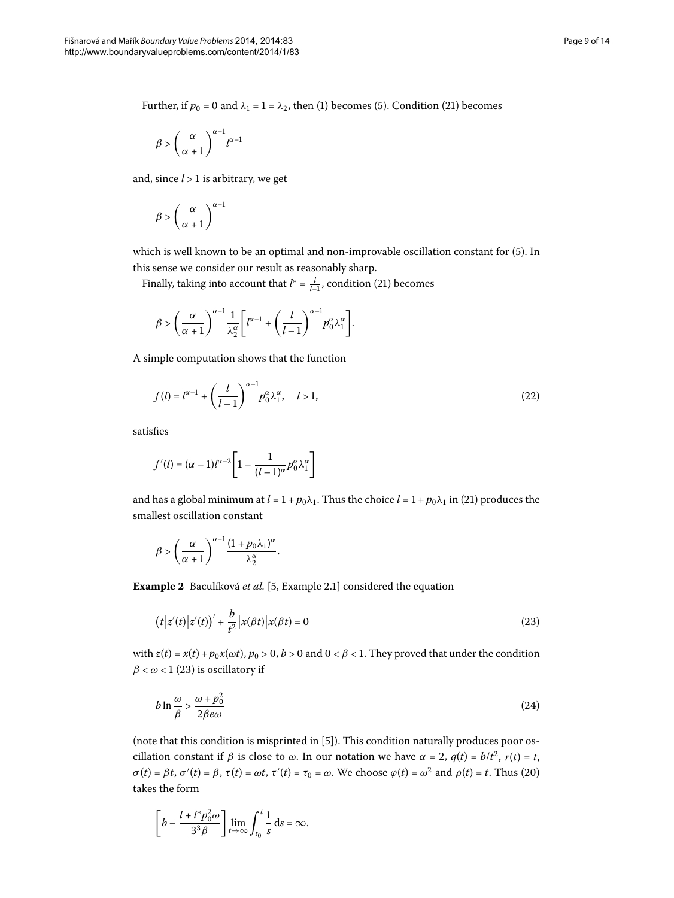Further, if  $p_0 = 0$  and  $\lambda_1 = 1 = \lambda_2$ , then [\(](#page-0-1)1[\)](#page-7-2) becomes (5). Condition (21) becomes

$$
\beta>\left(\frac{\alpha}{\alpha+1}\right)^{\alpha+1}l^{\alpha-1}
$$

and, since  $l > 1$  is arbitrary, we get

$$
\beta>\left(\frac{\alpha}{\alpha+1}\right)^{\alpha+1}
$$

which is well known to be an optimal and non-improvable oscillation constant for (5[\)](#page-1-3). In this sense we consider our result as reasonably sharp.

Finally, taking into account that  $l^* = \frac{l}{l-1}$ , condition (21[\)](#page-7-2) becomes

<span id="page-8-2"></span>
$$
\beta > \left(\frac{\alpha}{\alpha+1}\right)^{\alpha+1} \frac{1}{\lambda_2^{\alpha}} \left[l^{\alpha-1} + \left(\frac{l}{l-1}\right)^{\alpha-1} p_0^{\alpha} \lambda_1^{\alpha}\right].
$$

A simple computation shows that the function

$$
f(l) = l^{\alpha - 1} + \left(\frac{l}{l - 1}\right)^{\alpha - 1} p_0^{\alpha} \lambda_1^{\alpha}, \quad l > 1,
$$
\n
$$
(22)
$$

satisfies

$$
f'(l)=(\alpha-1)l^{\alpha-2}\Bigg[1-\frac{1}{(l-1)^\alpha}p_0^\alpha\lambda_1^\alpha\Bigg]
$$

and has a global minimum at  $l = 1 + p_0\lambda_1$ . Thus the choice  $l = 1 + p_0\lambda_1$  in (21) produces the smallest oscillation constant

$$
\beta > \left(\frac{\alpha}{\alpha+1}\right)^{\alpha+1} \frac{(1+p_0\lambda_1)^{\alpha}}{\lambda_2^{\alpha}}
$$

**Example 2** Baculíková et al. [5, Example 2.1] considered the equation

<span id="page-8-1"></span><span id="page-8-0"></span>.

$$
\left(t\left|z'(t)\right|z'(t)\right)' + \frac{b}{t^2}\left|x(\beta t)\right|x(\beta t) = 0\tag{23}
$$

with  $z(t) = x(t) + p_0x(\omega t)$ ,  $p_0 > 0$ ,  $b > 0$  and  $0 < \beta < 1$ . They proved that under the condition  $\beta < \omega < 1$  (23) is oscillatory if

$$
b \ln \frac{\omega}{\beta} > \frac{\omega + p_0^2}{2\beta e \omega} \tag{24}
$$

(note that this condition is misprinted in  $[5]$  $[5]$ ). This condition naturally produces poor oscillation constant if  $\beta$  is close to  $\omega$ . In our notation we have  $\alpha = 2$ ,  $q(t) = b/t^2$ ,  $r(t) = t$ ,  $\sigma(t) = \beta t$ ,  $\sigma'(t) = \beta$ ,  $\tau(t) = \omega t$ ,  $\tau'(t) = \tau_0 = \omega$ . We choose  $\varphi(t) = \omega^2$  and  $\rho(t) = t$ . Thus (20) takes the form

$$
\left[b - \frac{l + l^* p_0^2 \omega}{3^3 \beta}\right] \lim_{t \to \infty} \int_{t_0}^t \frac{1}{s} \, \mathrm{d}s = \infty.
$$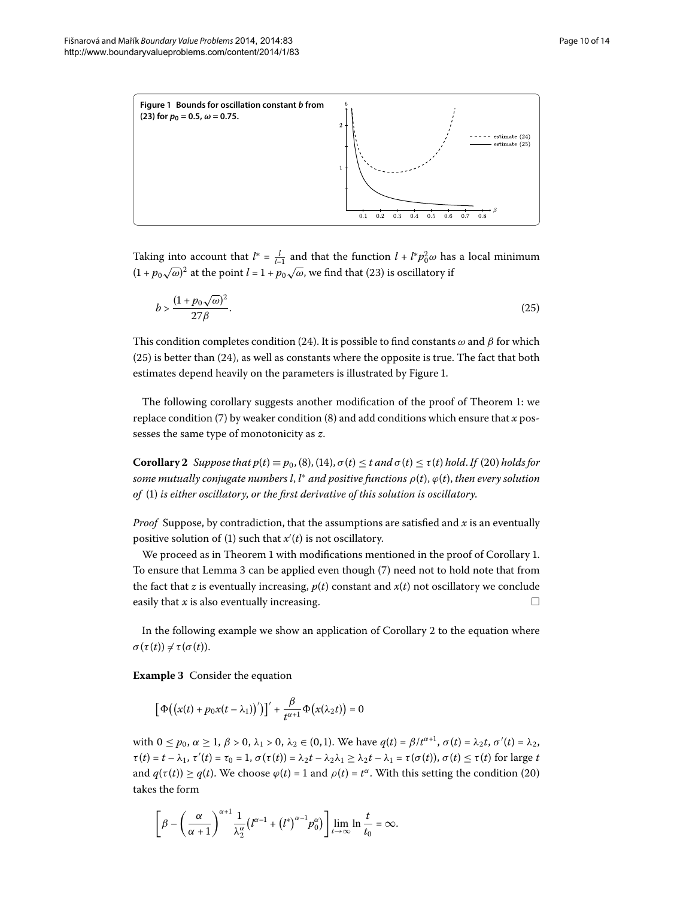<span id="page-9-1"></span>

Taking into account that  $l^* = \frac{l}{l-1}$  and that the function  $l + l^*p_0^2\omega$  has a local minimum  $(1 + p_0\sqrt{\omega})^2$  $(1 + p_0\sqrt{\omega})^2$  $(1 + p_0\sqrt{\omega})^2$  at the point  $l = 1 + p_0\sqrt{\omega}$ , we find that (23) is oscillatory if

<span id="page-9-0"></span>
$$
b > \frac{(1 + p_0\sqrt{\omega})^2}{27\beta}.\tag{25}
$$

<span id="page-9-2"></span>This condition completes condition (24[\)](#page-8-1). It is possible to find constants  $\omega$  and  $\beta$  for which  $(25)$  $(25)$  is better than  $(24)$ , as well as constants where the opposite is true. The fact that both estimates depend heavily on the parameters is illustrated by Figure 1[.](#page-9-1)

The following corollary suggests another modification of the proof of Theorem [:](#page-4-2) we replace condition (7[\)](#page-2-4) by weaker condition (8) and add conditions which ensure that  $x$  possesses the same type of monotonicity as *z*.

**Corollary 2** *Suppose that p*[\(](#page-4-0)*t*)  $\equiv p_0$ , (8), (14),  $\sigma(t) \leq t$  and  $\sigma(t) \leq \tau(t)$  hold. If (20) holds for *some mutually conjugate numbers l*, *l* <sup>∗</sup> *and positive functions ρ*(*t*), *ϕ*(*t*), *then every solution of* [\(](#page-0-1)) *is either oscillatory*, *or the first derivative of this solution is oscillatory*.

*Proof* Suppose, by contradiction, that the assumptions are satisfied and *x* is an eventually positive solution of (1) such that  $x'(t)$  is not oscillatory.

We proceed as in Theorem 1 with modifications mentioned in the proof of Corollary 1[.](#page-7-3) To ensure that Lemma 3 can be applied even though  $(7)$  $(7)$  need not to hold note that from the fact that *z* is eventually increasing,  $p(t)$  constant and  $x(t)$  not oscillatory we conclude easily that *x* is also eventually increasing.  $\Box$ 

In the following example we show an application of Corollary 2 to the equation where  $\sigma(\tau(t)) \neq \tau(\sigma(t)).$ 

**Example 3** Consider the equation

$$
\left[\Phi\big(\big(x(t)+p_0x(t-\lambda_1)\big)'\big)\right]'+\frac{\beta}{t^{\alpha+1}}\Phi\big(x(\lambda_2t)\big)=0
$$

with  $0 \le p_0, \alpha \ge 1, \beta > 0, \lambda_1 > 0, \lambda_2 \in (0,1)$ . We have  $q(t) = \beta / t^{\alpha+1}, \sigma(t) = \lambda_2 t, \sigma'(t) = \lambda_2$ ,  $\tau(t) = t - \lambda_1$ ,  $\tau'(t) = \tau_0 = 1$ ,  $\sigma(\tau(t)) = \lambda_2 t - \lambda_2 \lambda_1 \ge \lambda_2 t - \lambda_1 = \tau(\sigma(t))$ ,  $\sigma(t) \le \tau(t)$  for large t and  $q(\tau(t)) \geq q(t)$ . We choose  $\varphi(t) = 1$  and  $\rho(t) = t^{\alpha}$ . With this setting the condition (20) takes the form

$$
\left[\beta-\left(\frac{\alpha}{\alpha+1}\right)^{\alpha+1}\frac{1}{\lambda_2^{\alpha}}\left(l^{\alpha-1}+\left(l^*\right)^{\alpha-1}p_0^{\alpha}\right)\right]\lim_{t\to\infty}\ln\frac{t}{t_0}=\infty.
$$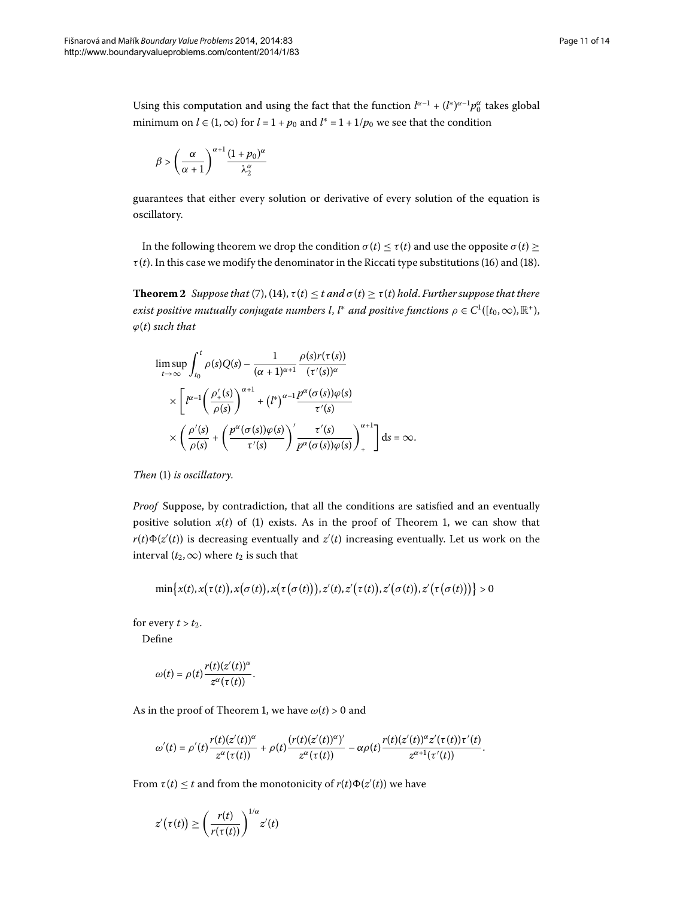Using this computation and using the fact that the function  $l^{\alpha-1} + (l^*)^{\alpha-1}p_0^{\alpha}$  takes global minimum on  $l \in (1, \infty)$  for  $l = 1 + p_0$  and  $l^* = 1 + 1/p_0$  we see that the condition

$$
\beta > \left(\frac{\alpha}{\alpha+1}\right)^{\alpha+1} \frac{(1+p_0)^{\alpha}}{\lambda_2^{\alpha}}
$$

<span id="page-10-0"></span>guarantees that either every solution or derivative of every solution of the equation is oscillatory.

In the following theorem we drop the condition  $\sigma(t) \leq \tau(t)$  and use the opposite  $\sigma(t) \geq$  $\tau(t)$  $\tau(t)$ . In this case we modify the denominator in the Riccati type substitutions (16) and (18).

**Theorem 2** *Suppose that* (7[\)](#page-4-0), (14),  $\tau(t) \leq t$  *and*  $\sigma(t) \geq \tau(t)$  *hold. Further suppose that there*  $e$ xist positive mutually conjugate numbers l,  $l^*$  and positive functions  $\rho \in C^1([t_0,\infty), {\mathbb R}^+),$ *ϕ*(*t*) *such that*

$$
\limsup_{t \to \infty} \int_{t_0}^t \rho(s)Q(s) - \frac{1}{(\alpha + 1)^{\alpha + 1}} \frac{\rho(s)r(\tau(s))}{(\tau'(s))^{\alpha}} \times \left[ l^{\alpha - 1} \left( \frac{\rho'_+(s)}{\rho(s)} \right)^{\alpha + 1} + (l^*)^{\alpha - 1} \frac{p^{\alpha}(\sigma(s))\varphi(s)}{\tau'(s)} \times \left( \frac{\rho'(s)}{\rho(s)} + \left( \frac{p^{\alpha}(\sigma(s))\varphi(s)}{\tau'(s)} \right)' \frac{\tau'(s)}{p^{\alpha}(\sigma(s))\varphi(s)} \right)_+^{\alpha + 1} \right] ds = \infty.
$$

*Then* (1) *is oscillatory*.

*Proof* Suppose, by contradiction, that all the conditions are satisfied and an eventually positive solution  $x(t)$  of (1) exists. As in the proof of Theorem 1, we can show that  $r(t)\Phi(z'(t))$  is decreasing eventually and  $z'(t)$  increasing eventually. Let us work on the interval  $(t_2, \infty)$  where  $t_2$  is such that

$$
\min\{x(t),x(\tau(t)),x(\sigma(t)),x(\tau(\sigma(t))),z'(t),z'(\tau(t)),z'(\sigma(t)),z'(\tau(\sigma(t)))\}>0
$$

for every  $t > t_2$ .

Define

$$
\omega(t) = \rho(t) \frac{r(t)(z'(t))^{\alpha}}{z^{\alpha}(\tau(t))}.
$$

As in the proof of Theorem 1, we have  $\omega(t) > 0$  and

$$
\omega'(t) = \rho'(t) \frac{r(t)(z'(t))^{\alpha}}{z^{\alpha}(\tau(t))} + \rho(t) \frac{(r(t)(z'(t))^{\alpha})'}{z^{\alpha}(\tau(t))} - \alpha \rho(t) \frac{r(t)(z'(t))^{\alpha} z'(\tau(t)) \tau'(t)}{z^{\alpha+1}(\tau'(t))}.
$$

From  $\tau(t) \leq t$  and from the monotonicity of  $r(t)\Phi(z'(t))$  we have

$$
z'\big(\tau(t)\big) \ge \left(\frac{r(t)}{r(\tau(t))}\right)^{1/\alpha} z'(t)
$$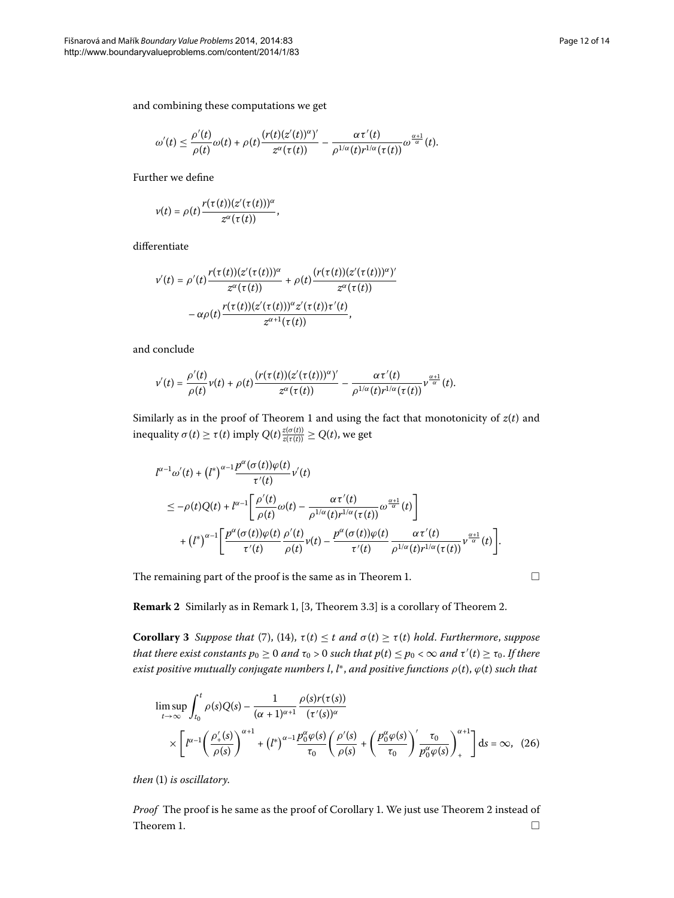and combining these computations we get

$$
\omega'(t)\leq \frac{\rho'(t)}{\rho(t)}\omega(t)+\rho(t)\frac{(r(t)(z'(t))^\alpha)'}{z^\alpha(\tau(t))}-\frac{\alpha\tau'(t)}{\rho^{1/\alpha}(t)r^{1/\alpha}(\tau(t))}\omega^{\frac{\alpha+1}{\alpha}}(t).
$$

Further we define

$$
v(t) = \rho(t) \frac{r(\tau(t))(z'(\tau(t)))^{\alpha}}{z^{\alpha}(\tau(t))},
$$

differentiate

$$
v'(t) = \rho'(t) \frac{r(\tau(t))(z'(\tau(t)))^{\alpha}}{z^{\alpha}(\tau(t))} + \rho(t) \frac{(r(\tau(t))(z'(\tau(t)))^{\alpha})'}{z^{\alpha}(\tau(t))}
$$

$$
-\alpha \rho(t) \frac{r(\tau(t))(z'(\tau(t)))^{\alpha} z'(\tau(t))\tau'(t)}{z^{\alpha+1}(\tau(t))},
$$

and conclude

$$
v'(t) = \frac{\rho'(t)}{\rho(t)}v(t) + \rho(t)\frac{(r(\tau(t))(z'(\tau(t)))^{\alpha})'}{z^{\alpha}(\tau(t))} - \frac{\alpha\tau'(t)}{\rho^{1/\alpha}(t)r^{1/\alpha}(\tau(t))}v^{\frac{\alpha+1}{\alpha}}(t).
$$

Similarly as in the proof of Theorem 1 and using the fact that monotonicity of  $z(t)$  and inequality  $\sigma(t) \geq \tau(t)$  imply  $Q(t) \frac{z(\sigma(t))}{z(\tau(t))} \geq Q(t)$ , we get

$$
l^{\alpha-1}\omega'(t) + (l^*)^{\alpha-1}\frac{p^{\alpha}(\sigma(t))\varphi(t)}{\tau'(t)}\nu'(t)
$$
  
\n
$$
\leq -\rho(t)Q(t) + l^{\alpha-1}\left[\frac{\rho'(t)}{\rho(t)}\omega(t) - \frac{\alpha\tau'(t)}{\rho^{1/\alpha}(t)r^{1/\alpha}(\tau(t))}\omega^{\frac{\alpha+1}{\alpha}}(t)\right]
$$
  
\n
$$
+ (l^*)^{\alpha-1}\left[\frac{p^{\alpha}(\sigma(t))\varphi(t)}{\tau'(t)}\frac{\rho'(t)}{\rho(t)}\nu(t) - \frac{p^{\alpha}(\sigma(t))\varphi(t)}{\tau'(t)}\frac{\alpha\tau'(t)}{\rho^{1/\alpha}(t)r^{1/\alpha}(\tau(t))}\nu^{\frac{\alpha+1}{\alpha}}(t)\right]
$$

<span id="page-11-1"></span>The remaining part of the proof is the same as in Theorem 1[.](#page-4-2)

<span id="page-11-0"></span>
$$
\Box
$$

.

**Remark 2** Similarly as in Remark 1[,](#page-7-4) [\[](#page-13-2)3, Theorem 3.3] is a corollary of Theorem 2.

**Corollary 3** *Suppose that* [\(](#page-2-3)7[\)](#page-4-0), (14),  $\tau(t) \leq t$  *and*  $\sigma(t) \geq \tau(t)$  *hold. Furthermore, suppose that there exist constants*  $p_0 \ge 0$  *and*  $\tau_0 > 0$  *such that*  $p(t) \le p_0 < \infty$  *and*  $\tau'(t) \ge \tau_0$ *. If there exist positive mutually conjugate numbers l*, *l* <sup>∗</sup>, *and positive functions ρ*(*t*), *ϕ*(*t*) *such that*

$$
\limsup_{t \to \infty} \int_{t_0}^t \rho(s)Q(s) - \frac{1}{(\alpha + 1)^{\alpha + 1}} \frac{\rho(s)r(\tau(s))}{(\tau'(s))^{\alpha}} \times \left[ l^{\alpha - 1} \left( \frac{\rho'_+(s)}{\rho(s)} \right)^{\alpha + 1} + (l^*)^{\alpha - 1} \frac{p_0^{\alpha} \varphi(s)}{\tau_0} \left( \frac{\rho'(s)}{\rho(s)} + \left( \frac{p_0^{\alpha} \varphi(s)}{\tau_0} \right)^{\alpha} \frac{\tau_0}{p_0^{\alpha} \varphi(s)} \right) \right] ds = \infty, \quad (26)
$$

*then* (1[\)](#page-0-1) *is oscillatory*.

*Proof* The proof is he same as the proof of Corollary 1[.](#page-7-3) We just use Theorem 2 instead of Theorem 1[.](#page-4-2)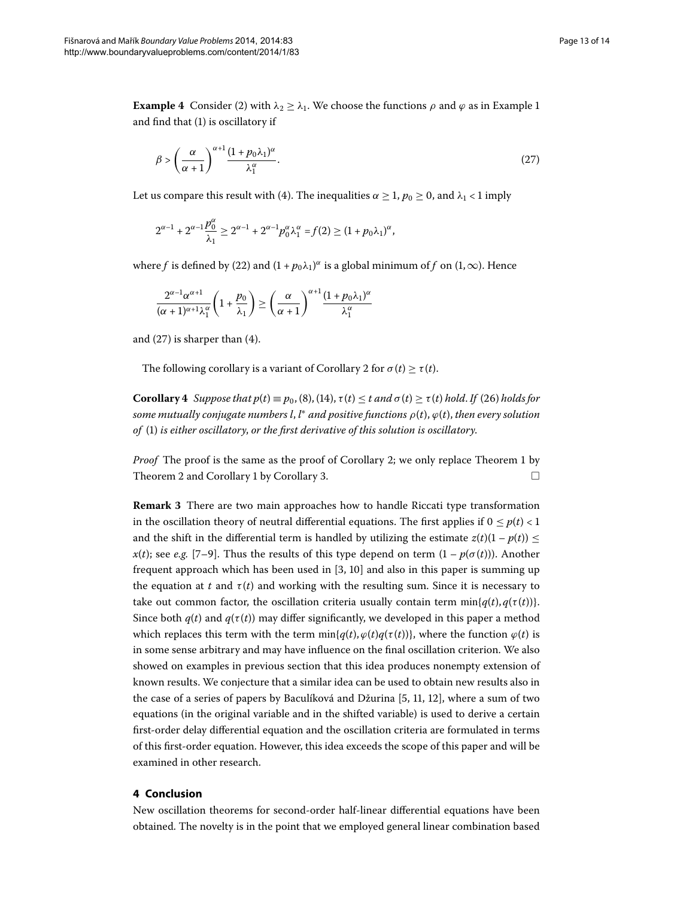<span id="page-12-0"></span>**Example 4** Consider (2[\)](#page-1-0) with  $\lambda_2 \geq \lambda_1$ . We choose the functions  $\rho$  and  $\varphi$  as in Example 1 and find that  $(1)$  $(1)$  is oscillatory if

<span id="page-12-1"></span>
$$
\beta > \left(\frac{\alpha}{\alpha + 1}\right)^{\alpha + 1} \frac{(1 + p_0 \lambda_1)^{\alpha}}{\lambda_1^{\alpha}}.
$$
\n(27)

Let us compare this result with (4). The inequalities  $\alpha \geq 1$ ,  $p_0 \geq 0$ , and  $\lambda_1 < 1$  imply

$$
2^{\alpha-1}+2^{\alpha-1}\frac{p_0^{\alpha}}{\lambda_1}\geq 2^{\alpha-1}+2^{\alpha-1}p_0^{\alpha}\lambda_1^{\alpha}=f(2)\geq (1+p_0\lambda_1)^{\alpha},
$$

<span id="page-12-2"></span>where *f* is defined by [\(](#page-8-2)22) and  $(1 + p_0\lambda_1)^\alpha$  is a global minimum of *f* on  $(1, \infty)$ . Hence

$$
\frac{2^{\alpha-1}\alpha^{\alpha+1}}{(\alpha+1)^{\alpha+1}\lambda_1^{\alpha}}\left(1+\frac{p_0}{\lambda_1}\right) \ge \left(\frac{\alpha}{\alpha+1}\right)^{\alpha+1}\frac{(1+p_0\lambda_1)^{\alpha}}{\lambda_1^{\alpha}}
$$

and  $(27)$  $(27)$  is sharper than  $(4)$ .

The following corollary is a variant of Corollary 2 for  $\sigma(t) \geq \tau(t)$ .

**Corollary 4** Suppose that  $p(t) \equiv p_0$  $p(t) \equiv p_0$  $p(t) \equiv p_0$  $p(t) \equiv p_0$  $p(t) \equiv p_0$ , (8), (14),  $\tau(t) \le t$  and  $\sigma(t) \ge \tau(t)$  hold. If (26) holds for *some mutually conjugate numbers l*, *l* <sup>∗</sup> *and positive functions ρ*(*t*), *ϕ*(*t*), *then every solution of* [\(](#page-0-1)) *is either oscillatory*, *or the first derivative of this solution is oscillatory*.

*Proof* The proof is the same as the proof of Corollary 2[;](#page-9-2) we only replace Theorem 1 by Theorem 2 and Corollary 1 by Corollary 3.  $\Box$ 

**Remark 3** There are two main approaches how to handle Riccati type transformation in the oscillation theory of neutral differential equations. The first applies if  $0 \le p(t) < 1$ and the shift in the differential term is handled by utilizing the estimate  $z(t)(1 - p(t)) \le$ *x*(*t*); see *e.g.* [7[–](#page-13-6)9[\]](#page-13-7). Thus the results of this type depend on term  $(1 - p(\sigma(t)))$ . Another frequent approach which has been used in  $[3, 10]$  $[3, 10]$  $[3, 10]$  and also in this paper is summing up the equation at *t* and  $\tau(t)$  and working with the resulting sum. Since it is necessary to take out common factor, the oscillation criteria usually contain term  $\min\{q(t), q(\tau(t))\}$ . Since both  $q(t)$  and  $q(\tau(t))$  may differ significantly, we developed in this paper a method which replaces this term with the term  $\min\{q(t), \varphi(t)q(\tau(t))\}$ , where the function  $\varphi(t)$  is in some sense arbitrary and may have influence on the final oscillation criterion. We also showed on examples in previous section that this idea produces nonempty extension of known results. We conjecture that a similar idea can be used to obtain new results also in the case of a series of papers by Baculíková and Džurina [\[](#page-13-4)5, 11, 12[\]](#page-13-10), where a sum of two equations (in the original variable and in the shifted variable) is used to derive a certain first-order delay differential equation and the oscillation criteria are formulated in terms of this first-order equation. However, this idea exceeds the scope of this paper and will be examined in other research.

#### **4 Conclusion**

New oscillation theorems for second-order half-linear differential equations have been obtained. The novelty is in the point that we employed general linear combination based